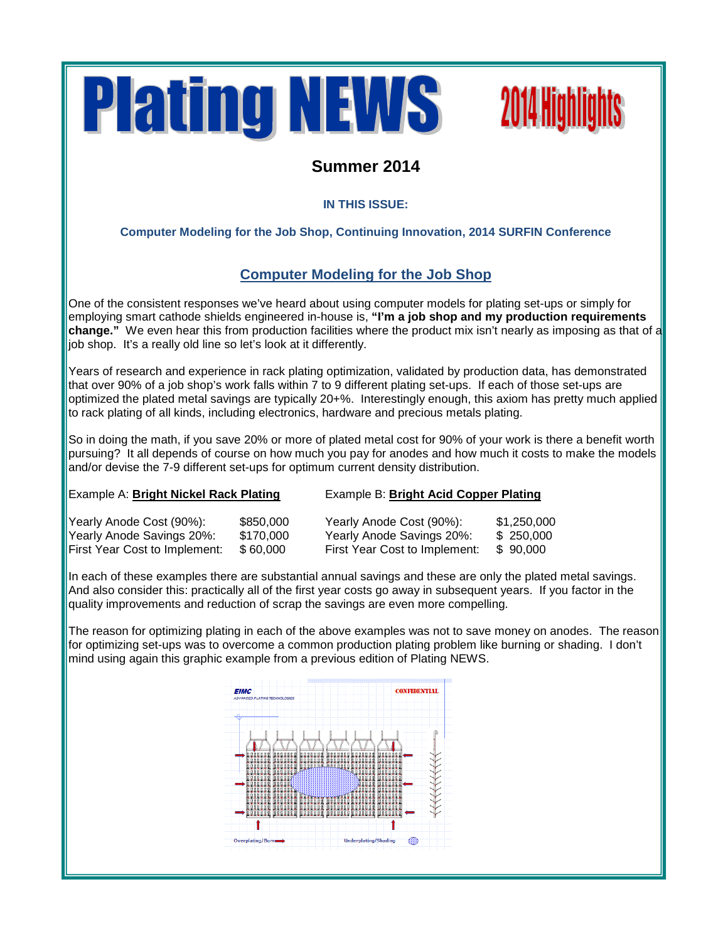



### **Summer 2014**

### **IN THIS ISSUE:**

### **Computer Modeling for the Job Shop, Continuing Innovation, 2014 SURFIN Conference**

### **Computer Modeling for the Job Shop**

One of the consistent responses we've heard about using computer models for plating set-ups or simply for employing smart cathode shields engineered in-house is, **"I'm a job shop and my production requirements change."** We even hear this from production facilities where the product mix isn't nearly as imposing as that of a job shop. It's a really old line so let's look at it differently.

Years of research and experience in rack plating optimization, validated by production data, has demonstrated that over 90% of a job shop's work falls within 7 to 9 different plating set-ups. If each of those set-ups are optimized the plated metal savings are typically 20+%. Interestingly enough, this axiom has pretty much applied to rack plating of all kinds, including electronics, hardware and precious metals plating.

So in doing the math, if you save 20% or more of plated metal cost for 90% of your work is there a benefit worth pursuing? It all depends of course on how much you pay for anodes and how much it costs to make the models and/or devise the 7-9 different set-ups for optimum current density distribution.

#### Example A: **Bright Nickel Rack Plating** Example B: **Bright Acid Copper Plating**

| Yearly Anode Cost (90%):      | \$850,000 | Yearly Anode Cost (90%):      | \$1,250,000 |
|-------------------------------|-----------|-------------------------------|-------------|
| Yearly Anode Savings 20%:     | \$170,000 | Yearly Anode Savings 20%:     | \$250,000   |
| First Year Cost to Implement: | \$60,000  | First Year Cost to Implement: | \$90,000    |

In each of these examples there are substantial annual savings and these are only the plated metal savings. And also consider this: practically all of the first year costs go away in subsequent years. If you factor in the quality improvements and reduction of scrap the savings are even more compelling.

The reason for optimizing plating in each of the above examples was not to save money on anodes. The reason for optimizing set-ups was to overcome a common production plating problem like burning or shading. I don't mind using again this graphic example from a previous edition of Plating NEWS.

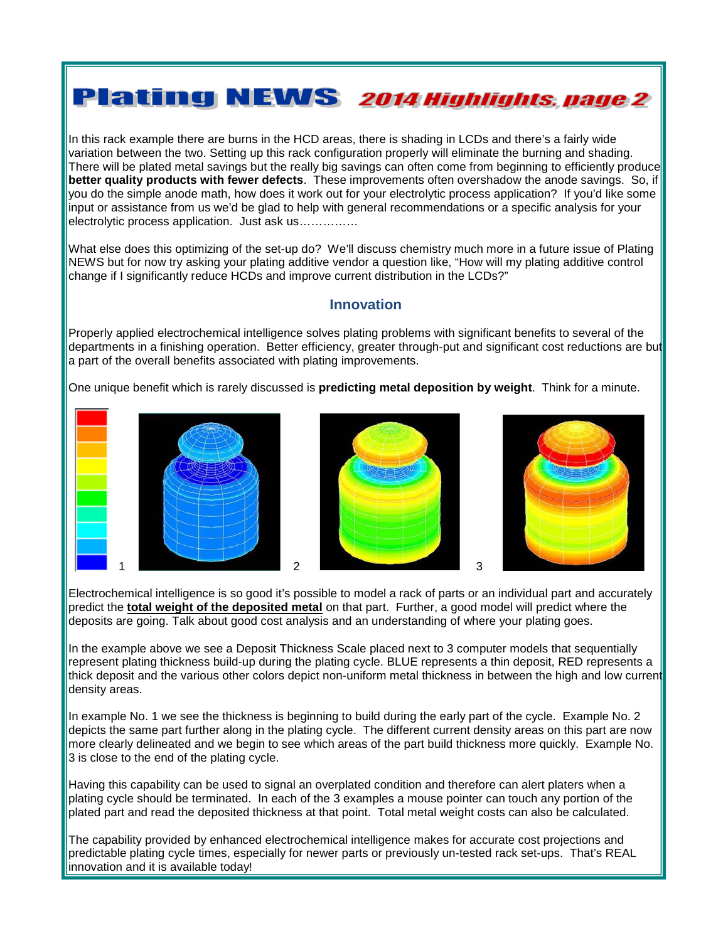## **Plating NEWS 2014 Highlights, page 2**

In this rack example there are burns in the HCD areas, there is shading in LCDs and there's a fairly wide variation between the two. Setting up this rack configuration properly will eliminate the burning and shading. There will be plated metal savings but the really big savings can often come from beginning to efficiently produce **better quality products with fewer defects**. These improvements often overshadow the anode savings. So, if you do the simple anode math, how does it work out for your electrolytic process application? If you'd like some input or assistance from us we'd be glad to help with general recommendations or a specific analysis for your electrolytic process application. Just ask us……………

What else does this optimizing of the set-up do? We'll discuss chemistry much more in a future issue of Plating NEWS but for now try asking your plating additive vendor a question like, "How will my plating additive control change if I significantly reduce HCDs and improve current distribution in the LCDs?"

### **Innovation**

Properly applied electrochemical intelligence solves plating problems with significant benefits to several of the departments in a finishing operation. Better efficiency, greater through-put and significant cost reductions are but a part of the overall benefits associated with plating improvements.

One unique benefit which is rarely discussed is **predicting metal deposition by weight**. Think for a minute.







Electrochemical intelligence is so good it's possible to model a rack of parts or an individual part and accurately predict the **total weight of the deposited metal** on that part. Further, a good model will predict where the deposits are going. Talk about good cost analysis and an understanding of where your plating goes.

In the example above we see a Deposit Thickness Scale placed next to 3 computer models that sequentially represent plating thickness build-up during the plating cycle. BLUE represents a thin deposit, RED represents a thick deposit and the various other colors depict non-uniform metal thickness in between the high and low current density areas.

In example No. 1 we see the thickness is beginning to build during the early part of the cycle. Example No. 2 depicts the same part further along in the plating cycle. The different current density areas on this part are now more clearly delineated and we begin to see which areas of the part build thickness more quickly. Example No. 3 is close to the end of the plating cycle.

Having this capability can be used to signal an overplated condition and therefore can alert platers when a plating cycle should be terminated. In each of the 3 examples a mouse pointer can touch any portion of the plated part and read the deposited thickness at that point. Total metal weight costs can also be calculated.

The capability provided by enhanced electrochemical intelligence makes for accurate cost projections and predictable plating cycle times, especially for newer parts or previously un-tested rack set-ups. That's REAL innovation and it is available today!